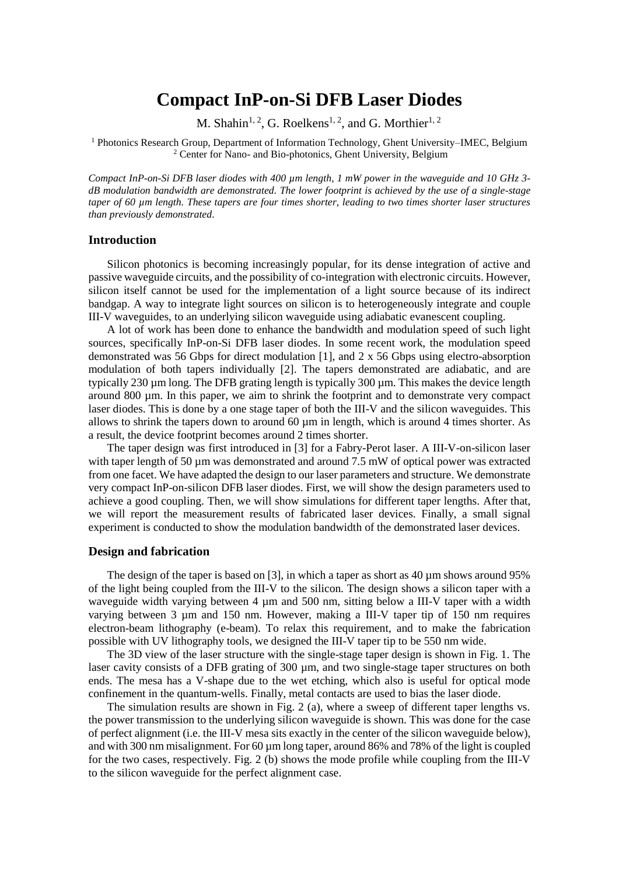# **Compact InP-on-Si DFB Laser Diodes**

M. Shahin<sup>1, 2</sup>, G. Roelkens<sup>1, 2</sup>, and G. Morthier<sup>1, 2</sup>

<sup>1</sup> Photonics Research Group, Department of Information Technology, Ghent University–IMEC, Belgium <sup>2</sup> Center for Nano- and Bio-photonics, Ghent University, Belgium

*Compact InP-on-Si DFB laser diodes with 400 µm length, 1 mW power in the waveguide and 10 GHz 3 dB modulation bandwidth are demonstrated. The lower footprint is achieved by the use of a single-stage taper of 60 µm length. These tapers are four times shorter, leading to two times shorter laser structures than previously demonstrated.*

#### **Introduction**

Silicon photonics is becoming increasingly popular, for its dense integration of active and passive waveguide circuits, and the possibility of co-integration with electronic circuits. However, silicon itself cannot be used for the implementation of a light source because of its indirect bandgap. A way to integrate light sources on silicon is to heterogeneously integrate and couple III-V waveguides, to an underlying silicon waveguide using adiabatic evanescent coupling.

A lot of work has been done to enhance the bandwidth and modulation speed of such light sources, specifically InP-on-Si DFB laser diodes. In some recent work, the modulation speed demonstrated was 56 Gbps for direct modulation [1], and 2 x 56 Gbps using electro-absorption modulation of both tapers individually [2]. The tapers demonstrated are adiabatic, and are typically 230 µm long. The DFB grating length is typically 300 µm. This makes the device length around 800 µm. In this paper, we aim to shrink the footprint and to demonstrate very compact laser diodes. This is done by a one stage taper of both the III-V and the silicon waveguides. This allows to shrink the tapers down to around  $60 \mu m$  in length, which is around 4 times shorter. As a result, the device footprint becomes around 2 times shorter.

The taper design was first introduced in [3] for a Fabry-Perot laser. A III-V-on-silicon laser with taper length of 50  $\mu$ m was demonstrated and around 7.5 mW of optical power was extracted from one facet. We have adapted the design to our laser parameters and structure. We demonstrate very compact InP-on-silicon DFB laser diodes. First, we will show the design parameters used to achieve a good coupling. Then, we will show simulations for different taper lengths. After that, we will report the measurement results of fabricated laser devices. Finally, a small signal experiment is conducted to show the modulation bandwidth of the demonstrated laser devices.

### **Design and fabrication**

The design of the taper is based on [3], in which a taper as short as 40 um shows around 95% of the light being coupled from the III-V to the silicon. The design shows a silicon taper with a waveguide width varying between 4  $\mu$ m and 500 nm, sitting below a III-V taper with a width varying between 3 µm and 150 nm. However, making a III-V taper tip of 150 nm requires electron-beam lithography (e-beam). To relax this requirement, and to make the fabrication possible with UV lithography tools, we designed the III-V taper tip to be 550 nm wide.

The 3D view of the laser structure with the single-stage taper design is shown in Fig. 1. The laser cavity consists of a DFB grating of 300 um, and two single-stage taper structures on both ends. The mesa has a V-shape due to the wet etching, which also is useful for optical mode confinement in the quantum-wells. Finally, metal contacts are used to bias the laser diode.

The simulation results are shown in Fig. 2 (a), where a sweep of different taper lengths vs. the power transmission to the underlying silicon waveguide is shown. This was done for the case of perfect alignment (i.e. the III-V mesa sits exactly in the center of the silicon waveguide below), and with 300 nm misalignment. For 60 µm long taper, around 86% and 78% of the light is coupled for the two cases, respectively. Fig. 2 (b) shows the mode profile while coupling from the III-V to the silicon waveguide for the perfect alignment case.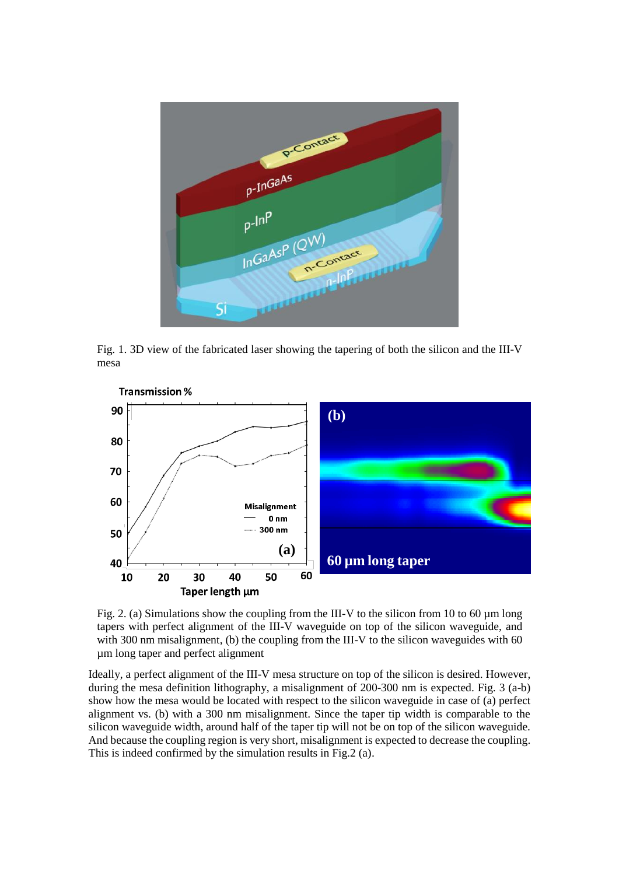

Fig. 1. 3D view of the fabricated laser showing the tapering of both the silicon and the III-V mesa



Fig. 2. (a) Simulations show the coupling from the III-V to the silicon from 10 to 60  $\mu$ m long tapers with perfect alignment of the III-V waveguide on top of the silicon waveguide, and with 300 nm misalignment, (b) the coupling from the III-V to the silicon waveguides with 60 µm long taper and perfect alignment

Ideally, a perfect alignment of the III-V mesa structure on top of the silicon is desired. However, during the mesa definition lithography, a misalignment of 200-300 nm is expected. Fig. 3 (a-b) show how the mesa would be located with respect to the silicon waveguide in case of (a) perfect alignment vs. (b) with a 300 nm misalignment. Since the taper tip width is comparable to the silicon waveguide width, around half of the taper tip will not be on top of the silicon waveguide. And because the coupling region is very short, misalignment is expected to decrease the coupling. This is indeed confirmed by the simulation results in Fig.2 (a).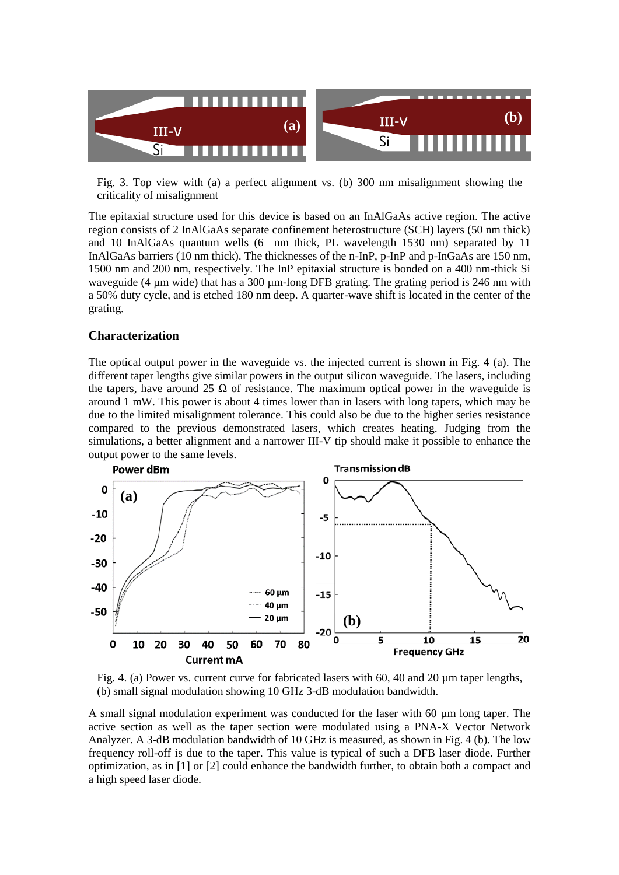

Fig. 3. Top view with (a) a perfect alignment vs. (b) 300 nm misalignment showing the criticality of misalignment

The epitaxial structure used for this device is based on an InAlGaAs active region. The active region consists of 2 InAlGaAs separate confinement heterostructure (SCH) layers (50 nm thick) and 10 InAlGaAs quantum wells (6 nm thick, PL wavelength 1530 nm) separated by 11 InAlGaAs barriers (10 nm thick). The thicknesses of the n-InP, p-InP and p-InGaAs are 150 nm, 1500 nm and 200 nm, respectively. The InP epitaxial structure is bonded on a 400 nm-thick Si waveguide (4 µm wide) that has a 300 µm-long DFB grating. The grating period is 246 nm with a 50% duty cycle, and is etched 180 nm deep. A quarter-wave shift is located in the center of the grating.

#### **Characterization**

The optical output power in the waveguide vs. the injected current is shown in Fig. 4 (a). The different taper lengths give similar powers in the output silicon waveguide. The lasers, including the tapers, have around 25  $\Omega$  of resistance. The maximum optical power in the waveguide is around 1 mW. This power is about 4 times lower than in lasers with long tapers, which may be due to the limited misalignment tolerance. This could also be due to the higher series resistance compared to the previous demonstrated lasers, which creates heating. Judging from the simulations, a better alignment and a narrower III-V tip should make it possible to enhance the output power to the same levels.





A small signal modulation experiment was conducted for the laser with 60 µm long taper. The active section as well as the taper section were modulated using a PNA-X Vector Network Analyzer. A 3-dB modulation bandwidth of 10 GHz is measured, as shown in Fig. 4 (b). The low frequency roll-off is due to the taper. This value is typical of such a DFB laser diode. Further optimization, as in [1] or [2] could enhance the bandwidth further, to obtain both a compact and a high speed laser diode.